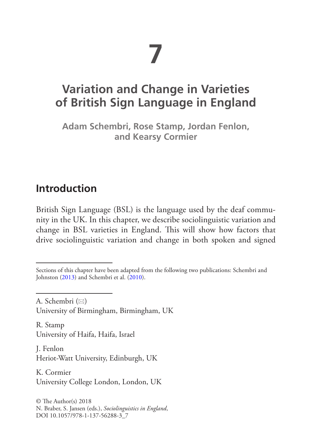# **7**

# **Variation and Change in Varieties of British Sign Language in England**

**Adam Schembri, Rose Stamp, Jordan Fenlon, and Kearsy Cormier**

# **Introduction**

British Sign Language (BSL) is the language used by the deaf community in the UK. In this chapter, we describe sociolinguistic variation and change in BSL varieties in England. This will show how factors that drive sociolinguistic variation and change in both spoken and signed

A. Schembri  $(\boxtimes)$ University of Birmingham, Birmingham, UK

R. Stamp University of Haifa, Haifa, Israel

J. Fenlon Heriot-Watt University, Edinburgh, UK

K. Cormier University College London, London, UK

 $\odot$  The Author(s) 2018 N. Braber, S. Jansen (eds.), *Sociolinguistics in England*, DOI 10.1057/978-1-137-56288-3\_7

Sections of this chapter have been adapted from the following two publications: Schembri and Johnston ([2013\)](#page-22-0) and Schembri et al. ([2010\)](#page-22-1).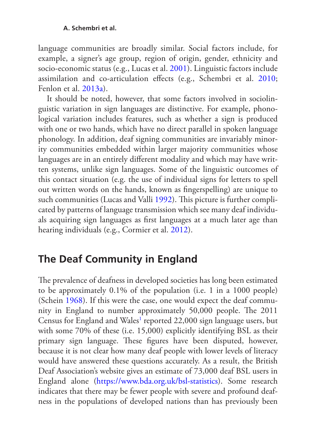language communities are broadly similar. Social factors include, for example, a signer's age group, region of origin, gender, ethnicity and socio-economic status (e.g., Lucas et al. [2001](#page-22-2)). Linguistic factors include assimilation and co-articulation efects (e.g., Schembri et al. [2010](#page-22-1); Fenlon et al. [2013a\)](#page-21-0).

It should be noted, however, that some factors involved in sociolinguistic variation in sign languages are distinctive. For example, phonological variation includes features, such as whether a sign is produced with one or two hands, which have no direct parallel in spoken language phonology. In addition, deaf signing communities are invariably minority communities embedded within larger majority communities whose languages are in an entirely diferent modality and which may have written systems, unlike sign languages. Some of the linguistic outcomes of this contact situation (e.g. the use of individual signs for letters to spell out written words on the hands, known as fngerspelling) are unique to such communities (Lucas and Valli [1992\)](#page-22-3). This picture is further complicated by patterns of language transmission which see many deaf individuals acquiring sign languages as frst languages at a much later age than hearing individuals (e.g., Cormier et al. [2012](#page-20-0)).

# **The Deaf Community in England**

The prevalence of deafness in developed societies has long been estimated to be approximately 0.1% of the population (i.e. 1 in a 1000 people) (Schein [1968](#page-22-4)). If this were the case, one would expect the deaf community in England to number approximately 50,000 people. The 2011 Census for England and Wales<sup>[1](#page-20-1)</sup> reported 22,000 sign language users, but with some 70% of these (i.e. 15,000) explicitly identifying BSL as their primary sign language. These figures have been disputed, however, because it is not clear how many deaf people with lower levels of literacy would have answered these questions accurately. As a result, the British Deaf Association's website gives an estimate of 73,000 deaf BSL users in England alone (<https://www.bda.org.uk/bsl-statistics>). Some research indicates that there may be fewer people with severe and profound deafness in the populations of developed nations than has previously been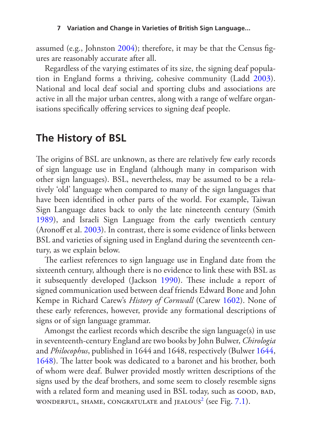assumed (e.g., Johnston [2004](#page-21-1)); therefore, it may be that the Census fgures are reasonably accurate after all.

Regardless of the varying estimates of its size, the signing deaf population in England forms a thriving, cohesive community (Ladd [2003\)](#page-22-5). National and local deaf social and sporting clubs and associations are active in all the major urban centres, along with a range of welfare organisations specifically offering services to signing deaf people.

# **The History of BSL**

The origins of BSL are unknown, as there are relatively few early records of sign language use in England (although many in comparison with other sign languages). BSL, nevertheless, may be assumed to be a relatively 'old' language when compared to many of the sign languages that have been identifed in other parts of the world. For example, Taiwan Sign Language dates back to only the late nineteenth century (Smith [1989](#page-22-6)), and Israeli Sign Language from the early twentieth century (Aronoff et al.  $2003$ ). In contrast, there is some evidence of links between BSL and varieties of signing used in England during the seventeenth century, as we explain below.

The earliest references to sign language use in England date from the sixteenth century, although there is no evidence to link these with BSL as it subsequently developed (Jackson [1990\)](#page-21-2). These include a report of signed communication used between deaf friends Edward Bone and John Kempe in Richard Carew's *History of Cornwall* (Carew [1602\)](#page-20-3). None of these early references, however, provide any formational descriptions of signs or of sign language grammar.

Amongst the earliest records which describe the sign language(s) in use in seventeenth-century England are two books by John Bulwer, *Chirologia* and *Philocophus*, published in 1644 and 1648, respectively (Bulwer [1644,](#page-20-4) [1648](#page-20-5)). The latter book was dedicated to a baronet and his brother, both of whom were deaf. Bulwer provided mostly written descriptions of the signs used by the deaf brothers, and some seem to closely resemble signs with a related form and meaning used in BSL today, such as GOOD, BAD, wonderful, shame, congratulate and jealous $^2$  $^2$  (see Fig. [7.1](#page-3-0)).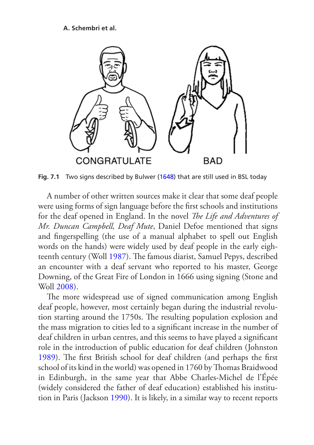<span id="page-3-0"></span>

**Fig. 7.1** Two signs described by Bulwer [\(1648](#page-20-5)) that are still used in BSL today

A number of other written sources make it clear that some deaf people were using forms of sign language before the frst schools and institutions for the deaf opened in England. In the novel *Te Life and Adventures of Mr. Duncan Campbell, Deaf Mute*, Daniel Defoe mentioned that signs and fngerspelling (the use of a manual alphabet to spell out English words on the hands) were widely used by deaf people in the early eigh-teenth century (Woll [1987\)](#page-23-0). The famous diarist, Samuel Pepys, described an encounter with a deaf servant who reported to his master, George Downing, of the Great Fire of London in 1666 using signing (Stone and Woll [2008](#page-23-1)).

The more widespread use of signed communication among English deaf people, however, most certainly began during the industrial revolution starting around the 1750s. The resulting population explosion and the mass migration to cities led to a signifcant increase in the number of deaf children in urban centres, and this seems to have played a signifcant role in the introduction of public education for deaf children (Johnston [1989](#page-21-3)). The first British school for deaf children (and perhaps the first school of its kind in the world) was opened in 1760 by Thomas Braidwood in Edinburgh, in the same year that Abbe Charles-Michel de l'Épée (widely considered the father of deaf education) established his institution in Paris (Jackson [1990\)](#page-21-2). It is likely, in a similar way to recent reports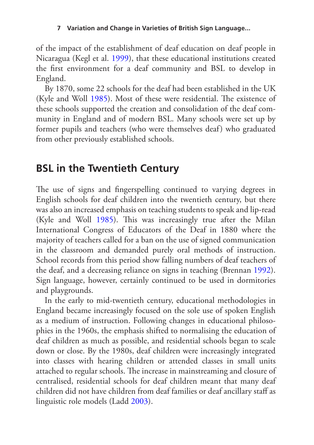of the impact of the establishment of deaf education on deaf people in Nicaragua (Kegl et al. [1999](#page-21-4)), that these educational institutions created the frst environment for a deaf community and BSL to develop in England.

By 1870, some 22 schools for the deaf had been established in the UK (Kyle and Woll [1985\)](#page-21-5). Most of these were residential. The existence of these schools supported the creation and consolidation of the deaf community in England and of modern BSL. Many schools were set up by former pupils and teachers (who were themselves deaf) who graduated from other previously established schools.

# **BSL in the Twentieth Century**

The use of signs and fingerspelling continued to varying degrees in English schools for deaf children into the twentieth century, but there was also an increased emphasis on teaching students to speak and lip-read (Kyle and Woll [1985\)](#page-21-5). This was increasingly true after the Milan International Congress of Educators of the Deaf in 1880 where the majority of teachers called for a ban on the use of signed communication in the classroom and demanded purely oral methods of instruction. School records from this period show falling numbers of deaf teachers of the deaf, and a decreasing reliance on signs in teaching (Brennan [1992\)](#page-20-7). Sign language, however, certainly continued to be used in dormitories and playgrounds.

In the early to mid-twentieth century, educational methodologies in England became increasingly focused on the sole use of spoken English as a medium of instruction. Following changes in educational philosophies in the 1960s, the emphasis shifted to normalising the education of deaf children as much as possible, and residential schools began to scale down or close. By the 1980s, deaf children were increasingly integrated into classes with hearing children or attended classes in small units attached to regular schools. The increase in mainstreaming and closure of centralised, residential schools for deaf children meant that many deaf children did not have children from deaf families or deaf ancillary staf as linguistic role models (Ladd [2003](#page-22-5)).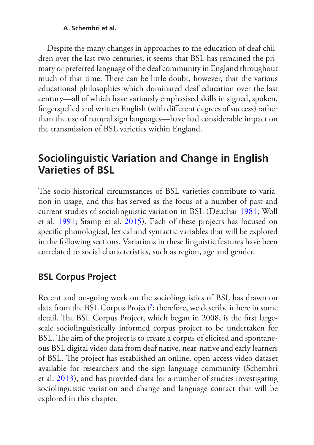Despite the many changes in approaches to the education of deaf children over the last two centuries, it seems that BSL has remained the primary or preferred language of the deaf community in England throughout much of that time. There can be little doubt, however, that the various educational philosophies which dominated deaf education over the last century—all of which have variously emphasised skills in signed, spoken, fngerspelled and written English (with diferent degrees of success) rather than the use of natural sign languages—have had considerable impact on the transmission of BSL varieties within England.

# **Sociolinguistic Variation and Change in English Varieties of BSL**

The socio-historical circumstances of BSL varieties contribute to variation in usage, and this has served as the focus of a number of past and current studies of sociolinguistic variation in BSL (Deuchar [1981;](#page-21-6) Woll et al. [1991;](#page-23-2) Stamp et al. [2015](#page-23-3)). Each of these projects has focused on specifc phonological, lexical and syntactic variables that will be explored in the following sections. Variations in these linguistic features have been correlated to social characteristics, such as region, age and gender.

# **BSL Corpus Project**

Recent and on-going work on the sociolinguistics of BSL has drawn on data from the BSL Corpus Project<sup>3</sup>; therefore, we describe it here in some detail. The BSL Corpus Project, which began in 2008, is the first largescale sociolinguistically informed corpus project to be undertaken for BSL. The aim of the project is to create a corpus of elicited and spontaneous BSL digital video data from deaf native, near-native and early learners of BSL. The project has established an online, open-access video dataset available for researchers and the sign language community (Schembri et al. [2013](#page-22-7)), and has provided data for a number of studies investigating sociolinguistic variation and change and language contact that will be explored in this chapter.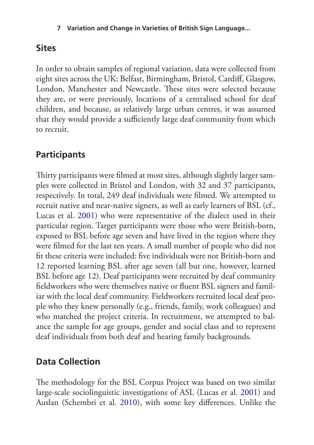## **Sites**

In order to obtain samples of regional variation, data were collected from eight sites across the UK: Belfast, Birmingham, Bristol, Cardif, Glasgow, London, Manchester and Newcastle. These sites were selected because they are, or were previously, locations of a centralised school for deaf children, and because, as relatively large urban centres, it was assumed that they would provide a sufficiently large deaf community from which to recruit.

# **Participants**

Thirty participants were filmed at most sites, although slightly larger samples were collected in Bristol and London, with 32 and 37 participants, respectively. In total, 249 deaf individuals were flmed. We attempted to recruit native and near-native signers, as well as early learners of BSL (cf., Lucas et al. [2001\)](#page-22-2) who were representative of the dialect used in their particular region. Target participants were those who were British-born, exposed to BSL before age seven and have lived in the region where they were flmed for the last ten years. A small number of people who did not ft these criteria were included: fve individuals were not British-born and 12 reported learning BSL after age seven (all but one, however, learned BSL before age 12). Deaf participants were recruited by deaf community feldworkers who were themselves native or fuent BSL signers and familiar with the local deaf community. Fieldworkers recruited local deaf people who they knew personally (e.g., friends, family, work colleagues) and who matched the project criteria. In recruitment, we attempted to balance the sample for age groups, gender and social class and to represent deaf individuals from both deaf and hearing family backgrounds.

# **Data Collection**

The methodology for the BSL Corpus Project was based on two similar large-scale sociolinguistic investigations of ASL (Lucas et al. [2001\)](#page-22-2) and Auslan (Schembri et al. [2010](#page-22-1)), with some key diferences. Unlike the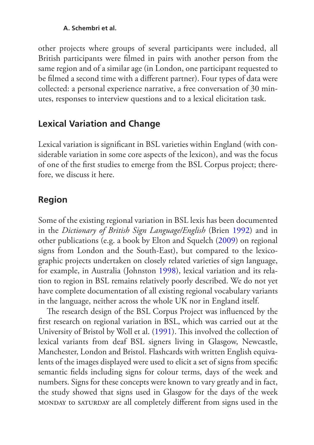other projects where groups of several participants were included, all British participants were flmed in pairs with another person from the same region and of a similar age (in London, one participant requested to be flmed a second time with a diferent partner). Four types of data were collected: a personal experience narrative, a free conversation of 30 minutes, responses to interview questions and to a lexical elicitation task.

## **Lexical Variation and Change**

Lexical variation is signifcant in BSL varieties within England (with considerable variation in some core aspects of the lexicon), and was the focus of one of the frst studies to emerge from the BSL Corpus project; therefore, we discuss it here.

# **Region**

Some of the existing regional variation in BSL lexis has been documented in the *Dictionary of British Sign Language/English* (Brien [1992\)](#page-20-9) and in other publications (e.g. a book by Elton and Squelch ([2009\)](#page-21-7) on regional signs from London and the South-East), but compared to the lexicographic projects undertaken on closely related varieties of sign language, for example, in Australia (Johnston [1998](#page-21-8)), lexical variation and its relation to region in BSL remains relatively poorly described. We do not yet have complete documentation of all existing regional vocabulary variants in the language, neither across the whole UK nor in England itself.

The research design of the BSL Corpus Project was influenced by the frst research on regional variation in BSL, which was carried out at the University of Bristol by Woll et al. ([1991\)](#page-23-2). This involved the collection of lexical variants from deaf BSL signers living in Glasgow, Newcastle, Manchester, London and Bristol. Flashcards with written English equivalents of the images displayed were used to elicit a set of signs from specifc semantic felds including signs for colour terms, days of the week and numbers. Signs for these concepts were known to vary greatly and in fact, the study showed that signs used in Glasgow for the days of the week monday to saturday are all completely diferent from signs used in the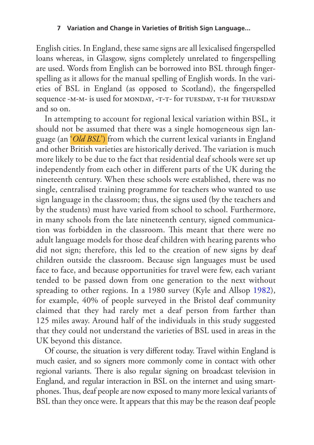English cities. In England, these same signs are all lexicalised fngerspelled loans whereas, in Glasgow, signs completely unrelated to fngerspelling are used. Words from English can be borrowed into BSL through fngerspelling as it allows for the manual spelling of English words. In the varieties of BSL in England (as opposed to Scotland), the fngerspelled sequence -M-M- is used for MONDAY, -T-T- for TUESDAY, T-H for THURSDAY and so on.

In attempting to account for regional lexical variation within BSL, it should not be assumed that there was a single homogeneous sign language (an '*Old BSL*') from which the current lexical variants in England and other British varieties are historically derived. The variation is much more likely to be due to the fact that residential deaf schools were set up independently from each other in diferent parts of the UK during the nineteenth century. When these schools were established, there was no single, centralised training programme for teachers who wanted to use sign language in the classroom; thus, the signs used (by the teachers and by the students) must have varied from school to school. Furthermore, in many schools from the late nineteenth century, signed communication was forbidden in the classroom. This meant that there were no adult language models for those deaf children with hearing parents who did not sign; therefore, this led to the creation of new signs by deaf children outside the classroom. Because sign languages must be used face to face, and because opportunities for travel were few, each variant tended to be passed down from one generation to the next without spreading to other regions. In a 1980 survey (Kyle and Allsop [1982\)](#page-21-9), for example, 40% of people surveyed in the Bristol deaf community claimed that they had rarely met a deaf person from farther than 125 miles away. Around half of the individuals in this study suggested that they could not understand the varieties of BSL used in areas in the UK beyond this distance.

Of course, the situation is very diferent today. Travel within England is much easier, and so signers more commonly come in contact with other regional variants. There is also regular signing on broadcast television in England, and regular interaction in BSL on the internet and using smartphones. Thus, deaf people are now exposed to many more lexical variants of BSL than they once were. It appears that this may be the reason deaf people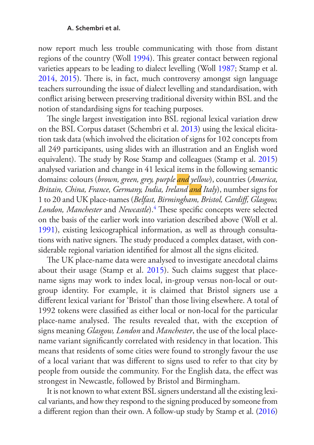now report much less trouble communicating with those from distant regions of the country (Woll [1994](#page-23-4)). This greater contact between regional varieties appears to be leading to dialect levelling (Woll [1987;](#page-23-0) Stamp et al. [2014](#page-22-8), [2015\)](#page-23-3). There is, in fact, much controversy amongst sign language teachers surrounding the issue of dialect levelling and standardisation, with confict arising between preserving traditional diversity within BSL and the notion of standardising signs for teaching purposes.

The single largest investigation into BSL regional lexical variation drew on the BSL Corpus dataset (Schembri et al. [2013](#page-22-7)) using the lexical elicitation task data (which involved the elicitation of signs for 102 concepts from all 249 participants, using slides with an illustration and an English word equivalent). The study by Rose Stamp and colleagues (Stamp et al. [2015\)](#page-23-3) analysed variation and change in 41 lexical items in the following semantic domains: colours (*brown, green, grey, purple and yellow*), countries (*America, Britain, China, France, Germany, India, Ireland and Italy*), number signs for 1 to 20 and UK place-names (*Belfast, Birmingham, Bristol, Cardif, Glasgow, London, Manchester* and *Newcastle*).<sup>4</sup> These specific concepts were selected on the basis of the earlier work into variation described above (Woll et al. [1991\)](#page-23-2), existing lexicographical information, as well as through consultations with native signers. The study produced a complex dataset, with considerable regional variation identifed for almost all the signs elicited.

The UK place-name data were analysed to investigate anecdotal claims about their usage (Stamp et al. [2015](#page-23-3)). Such claims suggest that placename signs may work to index local, in-group versus non-local or outgroup identity. For example, it is claimed that Bristol signers use a diferent lexical variant for 'Bristol' than those living elsewhere. A total of 1992 tokens were classifed as either local or non-local for the particular place-name analysed. The results revealed that, with the exception of signs meaning *Glasgow, London* and *Manchester*, the use of the local placename variant significantly correlated with residency in that location. This means that residents of some cities were found to strongly favour the use of a local variant that was diferent to signs used to refer to that city by people from outside the community. For the English data, the efect was strongest in Newcastle, followed by Bristol and Birmingham.

It is not known to what extent BSL signers understand all the existing lexical variants, and how they respond to the signing produced by someone from a diferent region than their own. A follow-up study by Stamp et al. [\(2016\)](#page-23-5)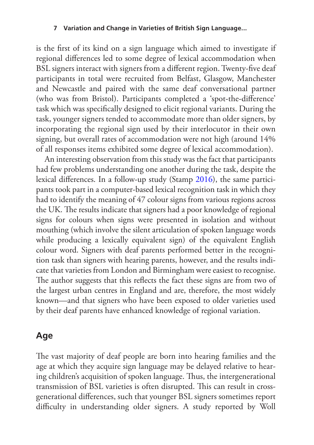is the frst of its kind on a sign language which aimed to investigate if regional diferences led to some degree of lexical accommodation when BSL signers interact with signers from a diferent region. Twenty-fve deaf participants in total were recruited from Belfast, Glasgow, Manchester and Newcastle and paired with the same deaf conversational partner (who was from Bristol). Participants completed a 'spot-the-diference' task which was specifcally designed to elicit regional variants. During the task, younger signers tended to accommodate more than older signers, by incorporating the regional sign used by their interlocutor in their own signing, but overall rates of accommodation were not high (around 14% of all responses items exhibited some degree of lexical accommodation).

An interesting observation from this study was the fact that participants had few problems understanding one another during the task, despite the lexical diferences. In a follow-up study (Stamp [2016](#page-22-9)), the same participants took part in a computer-based lexical recognition task in which they had to identify the meaning of 47 colour signs from various regions across the UK. The results indicate that signers had a poor knowledge of regional signs for colours when signs were presented in isolation and without mouthing (which involve the silent articulation of spoken language words while producing a lexically equivalent sign) of the equivalent English colour word. Signers with deaf parents performed better in the recognition task than signers with hearing parents, however, and the results indicate that varieties from London and Birmingham were easiest to recognise. The author suggests that this reflects the fact these signs are from two of the largest urban centres in England and are, therefore, the most widely known—and that signers who have been exposed to older varieties used by their deaf parents have enhanced knowledge of regional variation.

## **Age**

The vast majority of deaf people are born into hearing families and the age at which they acquire sign language may be delayed relative to hearing children's acquisition of spoken language. Thus, the intergenerational transmission of BSL varieties is often disrupted. This can result in crossgenerational diferences, such that younger BSL signers sometimes report difficulty in understanding older signers. A study reported by Woll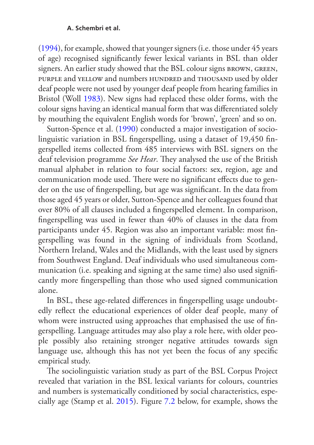([1994](#page-23-4)), for example, showed that younger signers (i.e. those under 45 years of age) recognised signifcantly fewer lexical variants in BSL than older signers. An earlier study showed that the BSL colour signs BROWN, GREEN, purple and yellow and numbers hundred and thousand used by older deaf people were not used by younger deaf people from hearing families in Bristol (Woll [1983](#page-23-6)). New signs had replaced these older forms, with the colour signs having an identical manual form that was diferentiated solely by mouthing the equivalent English words for 'brown', 'green' and so on.

Sutton-Spence et al. [\(1990](#page-23-7)) conducted a major investigation of sociolinguistic variation in BSL fngerspelling, using a dataset of 19,450 fngerspelled items collected from 485 interviews with BSL signers on the deaf television programme *See Hear*. They analysed the use of the British manual alphabet in relation to four social factors: sex, region, age and communication mode used. There were no significant effects due to gender on the use of fngerspelling, but age was signifcant. In the data from those aged 45 years or older, Sutton-Spence and her colleagues found that over 80% of all clauses included a fngerspelled element. In comparison, fngerspelling was used in fewer than 40% of clauses in the data from participants under 45. Region was also an important variable: most fngerspelling was found in the signing of individuals from Scotland, Northern Ireland, Wales and the Midlands, with the least used by signers from Southwest England. Deaf individuals who used simultaneous communication (i.e. speaking and signing at the same time) also used signifcantly more fngerspelling than those who used signed communication alone.

In BSL, these age-related diferences in fngerspelling usage undoubtedly refect the educational experiences of older deaf people, many of whom were instructed using approaches that emphasised the use of fngerspelling. Language attitudes may also play a role here, with older people possibly also retaining stronger negative attitudes towards sign language use, although this has not yet been the focus of any specifc empirical study.

The sociolinguistic variation study as part of the BSL Corpus Project revealed that variation in the BSL lexical variants for colours, countries and numbers is systematically conditioned by social characteristics, especially age (Stamp et al. [2015](#page-23-3)). Figure [7.2](#page-12-0) below, for example, shows the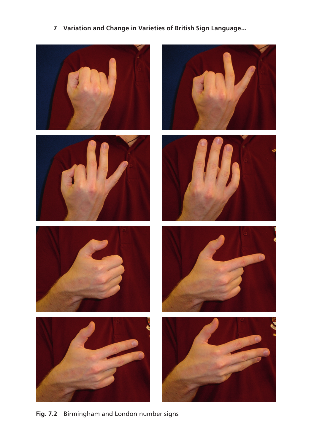<span id="page-12-0"></span>

**Fig. 7.2** Birmingham and London number signs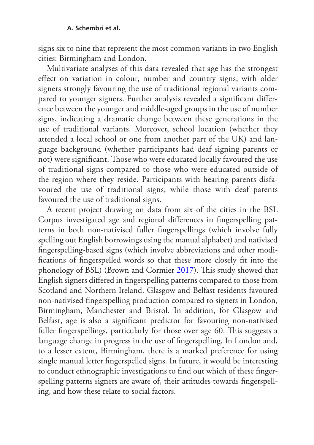signs six to nine that represent the most common variants in two English cities: Birmingham and London.

Multivariate analyses of this data revealed that age has the strongest efect on variation in colour, number and country signs, with older signers strongly favouring the use of traditional regional variants compared to younger signers. Further analysis revealed a signifcant diference between the younger and middle-aged groups in the use of number signs, indicating a dramatic change between these generations in the use of traditional variants. Moreover, school location (whether they attended a local school or one from another part of the UK) and language background (whether participants had deaf signing parents or not) were significant. Those who were educated locally favoured the use of traditional signs compared to those who were educated outside of the region where they reside. Participants with hearing parents disfavoured the use of traditional signs, while those with deaf parents favoured the use of traditional signs.

A recent project drawing on data from six of the cities in the BSL Corpus investigated age and regional diferences in fngerspelling patterns in both non-nativised fuller fngerspellings (which involve fully spelling out English borrowings using the manual alphabet) and nativised fngerspelling-based signs (which involve abbreviations and other modifcations of fngerspelled words so that these more closely ft into the phonology of BSL) (Brown and Cormier [2017](#page-20-11)). This study showed that English signers difered in fngerspelling patterns compared to those from Scotland and Northern Ireland. Glasgow and Belfast residents favoured non-nativised fngerspelling production compared to signers in London, Birmingham, Manchester and Bristol. In addition, for Glasgow and Belfast, age is also a signifcant predictor for favouring non-nativised fuller fingerspellings, particularly for those over age 60. This suggests a language change in progress in the use of fngerspelling. In London and, to a lesser extent, Birmingham, there is a marked preference for using single manual letter fngerspelled signs. In future, it would be interesting to conduct ethnographic investigations to fnd out which of these fngerspelling patterns signers are aware of, their attitudes towards fngerspelling, and how these relate to social factors.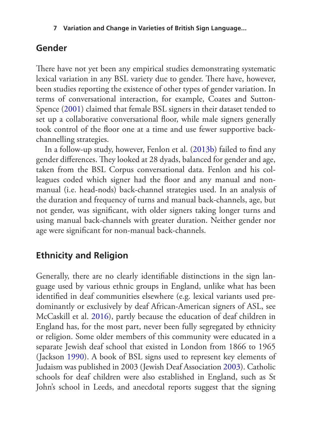**7 Variation and Change in Varieties of British Sign Language...**

# **Gender**

There have not yet been any empirical studies demonstrating systematic lexical variation in any BSL variety due to gender. There have, however, been studies reporting the existence of other types of gender variation. In terms of conversational interaction, for example, Coates and Sutton-Spence [\(2001](#page-20-12)) claimed that female BSL signers in their dataset tended to set up a collaborative conversational floor, while male signers generally took control of the foor one at a time and use fewer supportive backchannelling strategies.

In a follow-up study, however, Fenlon et al. ([2013b\)](#page-21-10) failed to fnd any gender differences. They looked at 28 dyads, balanced for gender and age, taken from the BSL Corpus conversational data. Fenlon and his colleagues coded which signer had the floor and any manual and nonmanual (i.e. head-nods) back-channel strategies used. In an analysis of the duration and frequency of turns and manual back-channels, age, but not gender, was signifcant, with older signers taking longer turns and using manual back-channels with greater duration. Neither gender nor age were signifcant for non-manual back-channels.

# **Ethnicity and Religion**

Generally, there are no clearly identifable distinctions in the sign language used by various ethnic groups in England, unlike what has been identifed in deaf communities elsewhere (e.g. lexical variants used predominantly or exclusively by deaf African-American signers of ASL, see McCaskill et al. [2016](#page-22-10)), partly because the education of deaf children in England has, for the most part, never been fully segregated by ethnicity or religion. Some older members of this community were educated in a separate Jewish deaf school that existed in London from 1866 to 1965 (Jackson [1990](#page-21-2)). A book of BSL signs used to represent key elements of Judaism was published in 2003 (Jewish Deaf Association [2003](#page-21-11)). Catholic schools for deaf children were also established in England, such as St John's school in Leeds, and anecdotal reports suggest that the signing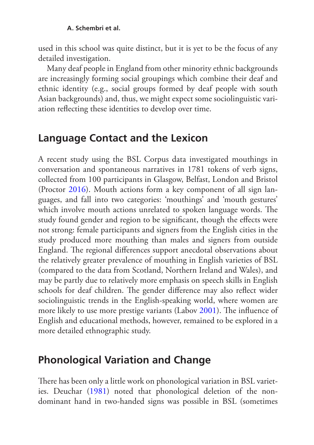used in this school was quite distinct, but it is yet to be the focus of any detailed investigation.

Many deaf people in England from other minority ethnic backgrounds are increasingly forming social groupings which combine their deaf and ethnic identity (e.g., social groups formed by deaf people with south Asian backgrounds) and, thus, we might expect some sociolinguistic variation refecting these identities to develop over time.

# **Language Contact and the Lexicon**

A recent study using the BSL Corpus data investigated mouthings in conversation and spontaneous narratives in 1781 tokens of verb signs, collected from 100 participants in Glasgow, Belfast, London and Bristol (Proctor [2016\)](#page-22-11). Mouth actions form a key component of all sign languages, and fall into two categories: 'mouthings' and 'mouth gestures' which involve mouth actions unrelated to spoken language words. The study found gender and region to be signifcant, though the efects were not strong: female participants and signers from the English cities in the study produced more mouthing than males and signers from outside England. The regional differences support anecdotal observations about the relatively greater prevalence of mouthing in English varieties of BSL (compared to the data from Scotland, Northern Ireland and Wales), and may be partly due to relatively more emphasis on speech skills in English schools for deaf children. The gender difference may also reflect wider sociolinguistic trends in the English-speaking world, where women are more likely to use more prestige variants (Labov [2001\)](#page-22-12). The influence of English and educational methods, however, remained to be explored in a more detailed ethnographic study.

# **Phonological Variation and Change**

There has been only a little work on phonological variation in BSL varieties. Deuchar ([1981\)](#page-21-6) noted that phonological deletion of the nondominant hand in two-handed signs was possible in BSL (sometimes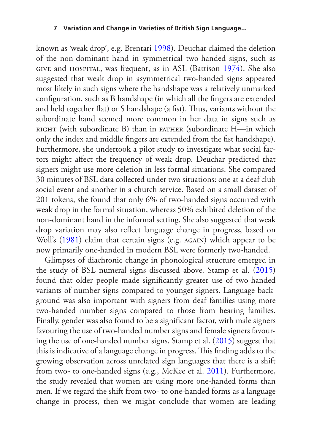known as 'weak drop', e.g. Brentari [1998](#page-20-13)). Deuchar claimed the deletion of the non-dominant hand in symmetrical two-handed signs, such as give and hospital, was frequent, as in ASL (Battison [1974](#page-20-14)). She also suggested that weak drop in asymmetrical two-handed signs appeared most likely in such signs where the handshape was a relatively unmarked confguration, such as B handshape (in which all the fngers are extended and held together flat) or S handshape (a fist). Thus, variants without the subordinate hand seemed more common in her data in signs such as RIGHT (with subordinate B) than in FATHER (subordinate H-in which only the index and middle fngers are extended from the fst handshape). Furthermore, she undertook a pilot study to investigate what social factors might afect the frequency of weak drop. Deuchar predicted that signers might use more deletion in less formal situations. She compared 30 minutes of BSL data collected under two situations: one at a deaf club social event and another in a church service. Based on a small dataset of 201 tokens, she found that only 6% of two-handed signs occurred with weak drop in the formal situation, whereas 50% exhibited deletion of the non-dominant hand in the informal setting. She also suggested that weak drop variation may also refect language change in progress, based on Woll's ([1981\)](#page-23-8) claim that certain signs (e.g. AGAIN) which appear to be now primarily one-handed in modern BSL were formerly two-handed.

Glimpses of diachronic change in phonological structure emerged in the study of BSL numeral signs discussed above. Stamp et al. ([2015\)](#page-23-3) found that older people made signifcantly greater use of two-handed variants of number signs compared to younger signers. Language background was also important with signers from deaf families using more two-handed number signs compared to those from hearing families. Finally, gender was also found to be a signifcant factor, with male signers favouring the use of two-handed number signs and female signers favouring the use of one-handed number signs. Stamp et al. ([2015](#page-23-3)) suggest that this is indicative of a language change in progress. This finding adds to the growing observation across unrelated sign languages that there is a shift from two- to one-handed signs (e.g., McKee et al. [2011](#page-22-13)). Furthermore, the study revealed that women are using more one-handed forms than men. If we regard the shift from two- to one-handed forms as a language change in process, then we might conclude that women are leading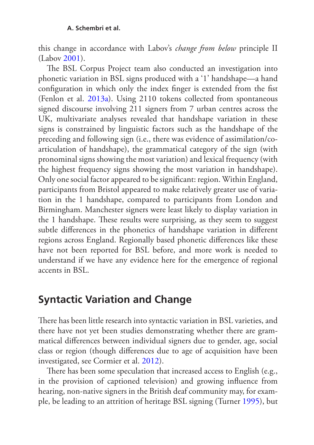this change in accordance with Labov's *change from below* principle II (Labov [2001\)](#page-22-12).

The BSL Corpus Project team also conducted an investigation into phonetic variation in BSL signs produced with a '1' handshape—a hand confguration in which only the index fnger is extended from the fst (Fenlon et al. [2013a\)](#page-21-0). Using 2110 tokens collected from spontaneous signed discourse involving 211 signers from 7 urban centres across the UK, multivariate analyses revealed that handshape variation in these signs is constrained by linguistic factors such as the handshape of the preceding and following sign (i.e., there was evidence of assimilation/coarticulation of handshape), the grammatical category of the sign (with pronominal signs showing the most variation) and lexical frequency (with the highest frequency signs showing the most variation in handshape). Only one social factor appeared to be signifcant: region. Within England, participants from Bristol appeared to make relatively greater use of variation in the 1 handshape, compared to participants from London and Birmingham. Manchester signers were least likely to display variation in the 1 handshape. These results were surprising, as they seem to suggest subtle diferences in the phonetics of handshape variation in diferent regions across England. Regionally based phonetic diferences like these have not been reported for BSL before, and more work is needed to understand if we have any evidence here for the emergence of regional accents in BSL.

# **Syntactic Variation and Change**

There has been little research into syntactic variation in BSL varieties, and there have not yet been studies demonstrating whether there are grammatical diferences between individual signers due to gender, age, social class or region (though diferences due to age of acquisition have been investigated, see Cormier et al. [2012\)](#page-20-0).

There has been some speculation that increased access to English (e.g., in the provision of captioned television) and growing infuence from hearing, non-native signers in the British deaf community may, for example, be leading to an attrition of heritage BSL signing (Turner [1995](#page-23-9)), but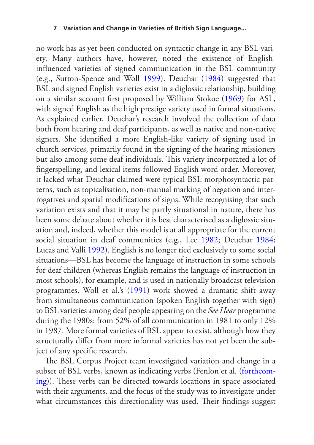no work has as yet been conducted on syntactic change in any BSL variety. Many authors have, however, noted the existence of Englishinfuenced varieties of signed communication in the BSL community (e.g., Sutton-Spence and Woll [1999\)](#page-23-10). Deuchar ([1984\)](#page-21-12) suggested that BSL and signed English varieties exist in a diglossic relationship, building on a similar account frst proposed by William Stokoe ([1969\)](#page-23-11) for ASL, with signed English as the high prestige variety used in formal situations. As explained earlier, Deuchar's research involved the collection of data both from hearing and deaf participants, as well as native and non-native signers. She identifed a more English-like variety of signing used in church services, primarily found in the signing of the hearing missioners but also among some deaf individuals. This variety incorporated a lot of fngerspelling, and lexical items followed English word order. Moreover, it lacked what Deuchar claimed were typical BSL morphosyntactic patterns, such as topicalisation, non-manual marking of negation and interrogatives and spatial modifcations of signs. While recognising that such variation exists and that it may be partly situational in nature, there has been some debate about whether it is best characterised as a diglossic situation and, indeed, whether this model is at all appropriate for the current social situation in deaf communities (e.g., Lee [1982;](#page-22-14) Deuchar [1984;](#page-21-12) Lucas and Valli [1992](#page-22-3)). English is no longer tied exclusively to some social situations—BSL has become the language of instruction in some schools for deaf children (whereas English remains the language of instruction in most schools), for example, and is used in nationally broadcast television programmes. Woll et al.'s [\(1991](#page-23-2)) work showed a dramatic shift away from simultaneous communication (spoken English together with sign) to BSL varieties among deaf people appearing on the *See Hear* programme during the 1980s: from 52% of all communication in 1981 to only 12% in 1987. More formal varieties of BSL appear to exist, although how they structurally difer from more informal varieties has not yet been the subject of any specifc research.

The BSL Corpus Project team investigated variation and change in a subset of BSL verbs, known as indicating verbs (Fenlon et al. [\(forthcom](#page-21-13)[ing](#page-21-13))). These verbs can be directed towards locations in space associated with their arguments, and the focus of the study was to investigate under what circumstances this directionality was used. Their findings suggest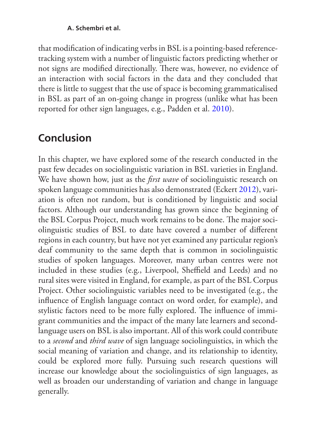that modifcation of indicating verbs in BSL is a pointing-based referencetracking system with a number of linguistic factors predicting whether or not signs are modified directionally. There was, however, no evidence of an interaction with social factors in the data and they concluded that there is little to suggest that the use of space is becoming grammaticalised in BSL as part of an on-going change in progress (unlike what has been reported for other sign languages, e.g., Padden et al. [2010](#page-22-15)).

# **Conclusion**

In this chapter, we have explored some of the research conducted in the past few decades on sociolinguistic variation in BSL varieties in England. We have shown how, just as the *frst wave* of sociolinguistic research on spoken language communities has also demonstrated (Eckert [2012](#page-21-14)), variation is often not random, but is conditioned by linguistic and social factors. Although our understanding has grown since the beginning of the BSL Corpus Project, much work remains to be done. The major sociolinguistic studies of BSL to date have covered a number of diferent regions in each country, but have not yet examined any particular region's deaf community to the same depth that is common in sociolinguistic studies of spoken languages. Moreover, many urban centres were not included in these studies (e.g., Liverpool, Sheffield and Leeds) and no rural sites were visited in England, for example, as part of the BSL Corpus Project. Other sociolinguistic variables need to be investigated (e.g., the infuence of English language contact on word order, for example), and stylistic factors need to be more fully explored. The influence of immigrant communities and the impact of the many late learners and secondlanguage users on BSL is also important. All of this work could contribute to a *second* and *third wave* of sign language sociolinguistics, in which the social meaning of variation and change, and its relationship to identity, could be explored more fully. Pursuing such research questions will increase our knowledge about the sociolinguistics of sign languages, as well as broaden our understanding of variation and change in language generally.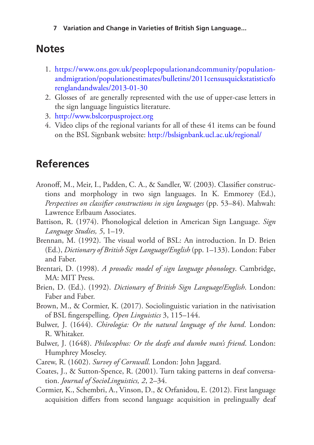# **Notes**

- <span id="page-20-1"></span>1. [https://www.ons.gov.uk/peoplepopulationandcommunity/population](https://www.ons.gov.uk/peoplepopulationandcommunity/populationandmigration/populationestimates/bulletins/2011censusquickstatisticsforenglandandwales/2013-01-30)[andmigration/populationestimates/bulletins/2011censusquickstatisticsfo](https://www.ons.gov.uk/peoplepopulationandcommunity/populationandmigration/populationestimates/bulletins/2011censusquickstatisticsforenglandandwales/2013-01-30) [renglandandwales/2013-01-30](https://www.ons.gov.uk/peoplepopulationandcommunity/populationandmigration/populationestimates/bulletins/2011censusquickstatisticsforenglandandwales/2013-01-30)
- <span id="page-20-6"></span>2. Glosses of are generally represented with the use of upper-case letters in the sign language linguistics literature.
- <span id="page-20-8"></span>3. <http://www.bslcorpusproject.org>
- <span id="page-20-10"></span>4. Video clips of the regional variants for all of these 41 items can be found on the BSL Signbank website: [http://bslsignbank.ucl.ac.uk/regional/](http://bslsignbank.ucl.ac.uk/regional)

# **References**

- <span id="page-20-2"></span>Aronof, M., Meir, I., Padden, C. A., & Sandler, W. (2003). Classifer constructions and morphology in two sign languages. In K. Emmorey (Ed.), *Perspectives on classifer constructions in sign languages* (pp. 53–84). Mahwah: Lawrence Erlbaum Associates.
- <span id="page-20-14"></span>Battison, R. (1974). Phonological deletion in American Sign Language. *Sign Language Studies, 5*, 1–19.
- <span id="page-20-7"></span>Brennan, M. (1992). The visual world of BSL: An introduction. In D. Brien (Ed.), *Dictionary of British Sign Language/English* (pp. 1–133). London: Faber and Faber.
- <span id="page-20-13"></span>Brentari, D. (1998). *A prosodic model of sign language phonology*. Cambridge, MA: MIT Press.
- <span id="page-20-9"></span>Brien, D. (Ed.). (1992). *Dictionary of British Sign Language/English*. London: Faber and Faber.
- <span id="page-20-11"></span>Brown, M., & Cormier, K. (2017). Sociolinguistic variation in the nativisation of BSL fngerspelling. *Open Linguistics* 3, 115–144.
- <span id="page-20-4"></span>Bulwer, J. (1644). *Chirologia: Or the natural language of the hand*. London: R. Whitaker.
- <span id="page-20-5"></span>Bulwer, J. (1648). *Philocophus: Or the deafe and dumbe man's friend*. London: Humphrey Moseley.
- <span id="page-20-3"></span>Carew, R. (1602). *Survey of Cornwall*. London: John Jaggard.
- <span id="page-20-12"></span>Coates, J., & Sutton-Spence, R. (2001). Turn taking patterns in deaf conversation. *Journal of SocioLinguistics, 2*, 2–34.
- <span id="page-20-0"></span>Cormier, K., Schembri, A., Vinson, D., & Orfanidou, E. (2012). First language acquisition difers from second language acquisition in prelingually deaf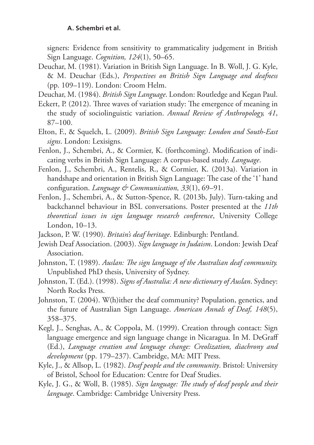signers: Evidence from sensitivity to grammaticality judgement in British Sign Language. *Cognition, 124*(1), 50–65.

<span id="page-21-6"></span>Deuchar, M. (1981). Variation in British Sign Language. In B. Woll, J. G. Kyle, & M. Deuchar (Eds.), *Perspectives on British Sign Language and deafness* (pp. 109–119). London: Croom Helm.

<span id="page-21-12"></span>Deuchar, M. (1984). *British Sign Language*. London: Routledge and Kegan Paul.

- <span id="page-21-14"></span>Eckert, P. (2012). Three waves of variation study: The emergence of meaning in the study of sociolinguistic variation. *Annual Review of Anthropology, 41*, 87–100.
- <span id="page-21-7"></span>Elton, F., & Squelch, L. (2009). *British Sign Language: London and South-East signs*. London: Lexisigns.
- <span id="page-21-13"></span>Fenlon, J., Schembri, A., & Cormier, K. (forthcoming). Modifcation of indicating verbs in British Sign Language: A corpus-based study. *Language*.
- <span id="page-21-0"></span>Fenlon, J., Schembri, A., Rentelis, R., & Cormier, K. (2013a). Variation in handshape and orientation in British Sign Language: The case of the '1' hand confguration. *Language & Communication, 33*(1), 69–91.
- <span id="page-21-10"></span>Fenlon, J., Schembri, A., & Sutton-Spence, R. (2013b, July). Turn-taking and backchannel behaviour in BSL conversations. Poster presented at the *11th theoretical issues in sign language research conference*, University College London, 10–13.
- <span id="page-21-2"></span>Jackson, P. W. (1990). *Britain's deaf heritage*. Edinburgh: Pentland.
- <span id="page-21-11"></span>Jewish Deaf Association. (2003). *Sign language in Judaism*. London: Jewish Deaf Association.
- <span id="page-21-3"></span>Johnston, T. (1989). *Auslan: Te sign language of the Australian deaf community.* Unpublished PhD thesis, University of Sydney.
- <span id="page-21-8"></span>Johnston, T. (Ed.). (1998). *Signs of Australia: A new dictionary of Auslan*. Sydney: North Rocks Press.
- <span id="page-21-1"></span>Johnston, T. (2004). W(h)ither the deaf community? Population, genetics, and the future of Australian Sign Language. *American Annals of Deaf, 148*(5), 358–375.
- <span id="page-21-4"></span>Kegl, J., Senghas, A., & Coppola, M. (1999). Creation through contact: Sign language emergence and sign language change in Nicaragua. In M. DeGraf (Ed.), *Language creation and language change: Creolization, diachrony and development* (pp. 179–237). Cambridge, MA: MIT Press.
- <span id="page-21-9"></span>Kyle, J., & Allsop, L. (1982). *Deaf people and the community*. Bristol: University of Bristol, School for Education: Centre for Deaf Studies.
- <span id="page-21-5"></span>Kyle, J. G., & Woll, B. (1985). *Sign language: Te study of deaf people and their language*. Cambridge: Cambridge University Press.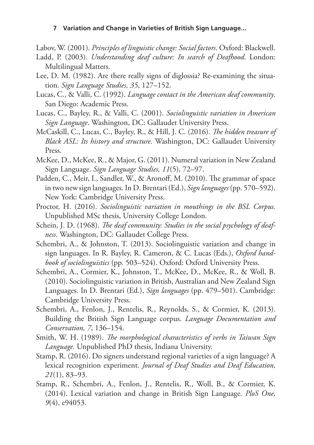<span id="page-22-12"></span><span id="page-22-5"></span>Labov, W. (2001). *Principles of linguistic change: Social factors*. Oxford: Blackwell. Ladd, P. (2003). *Understanding deaf culture: In search of Deafhood*. London: Multilingual Matters.

- <span id="page-22-14"></span>Lee, D. M. (1982). Are there really signs of diglossia? Re-examining the situation. *Sign Language Studies, 35*, 127–152.
- <span id="page-22-3"></span>Lucas, C., & Valli, C. (1992). *Language contact in the American deaf community*. San Diego: Academic Press.
- <span id="page-22-2"></span>Lucas, C., Bayley, R., & Valli, C. (2001). *Sociolinguistic variation in American Sign Language*. Washington, DC: Gallaudet University Press.
- <span id="page-22-10"></span>McCaskill, C., Lucas, C., Bayley, R., & Hill, J. C. (2016). *Te hidden treasure of Black ASL: Its history and structure*. Washington, DC: Gallaudet University Press.
- <span id="page-22-13"></span>McKee, D., McKee, R., & Major, G. (2011). Numeral variation in New Zealand Sign Language. *Sign Language Studies, 11*(5), 72–97.
- <span id="page-22-15"></span>Padden, C., Meir, I., Sandler, W., & Aronoff, M. (2010). The grammar of space in two new sign languages. In D. Brentari (Ed.), *Sign languages* (pp. 570–592). New York: Cambridge University Press.
- <span id="page-22-11"></span>Proctor, H. (2016). *Sociolinguistic variation in mouthings in the BSL Corpus.* Unpublished MSc thesis, University College London.
- <span id="page-22-4"></span>Schein, J. D. (1968). *Te deaf community: Studies in the social psychology of deafness*. Washington, DC: Gallaudet College Press.
- <span id="page-22-0"></span>Schembri, A., & Johnston, T. (2013). Sociolinguistic variation and change in sign languages. In R. Bayley, R. Cameron, & C. Lucas (Eds.), *Oxford handbook of sociolinguistics* (pp. 503–524). Oxford: Oxford University Press.
- <span id="page-22-1"></span>Schembri, A., Cormier, K., Johnston, T., McKee, D., McKee, R., & Woll, B. (2010). Sociolinguistic variation in British, Australian and New Zealand Sign Languages. In D. Brentari (Ed.), *Sign languages* (pp. 479–501). Cambridge: Cambridge University Press.
- <span id="page-22-7"></span>Schembri, A., Fenlon, J., Rentelis, R., Reynolds, S., & Cormier, K. (2013). Building the British Sign Language corpus. *Language Documentation and Conservation, 7*, 136–154.
- <span id="page-22-6"></span>Smith, W. H. (1989). *Te morphological characteristics of verbs in Taiwan Sign Language.* Unpublished PhD thesis, Indiana University.
- <span id="page-22-9"></span>Stamp, R. (2016). Do signers understand regional varieties of a sign language? A lexical recognition experiment. *Journal of Deaf Studies and Deaf Education, 21*(1), 83–93.
- <span id="page-22-8"></span>Stamp, R., Schembri, A., Fenlon, J., Rentelis, R., Woll, B., & Cormier, K. (2014). Lexical variation and change in British Sign Language. *PloS One, 9*(4), e94053.